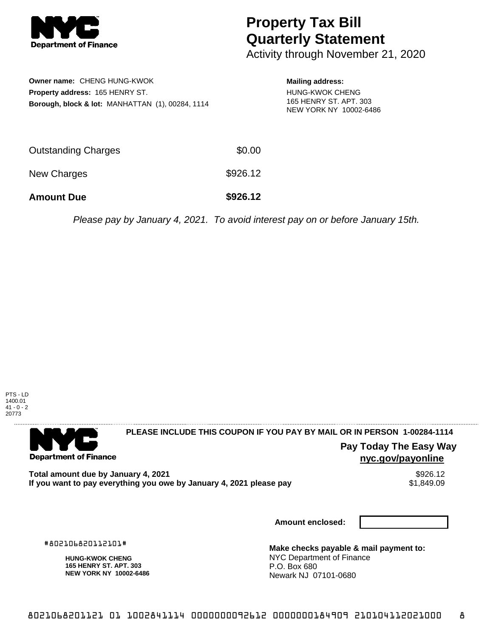

# **Property Tax Bill Quarterly Statement**

Activity through November 21, 2020

| <b>Owner name: CHENG HUNG-KWOK</b><br><b>Property address: 165 HENRY ST.</b><br>Borough, block & lot: MANHATTAN (1), 00284, 1114 |          | <b>Mailing address:</b><br>HUNG-KWOK CHENG<br>165 HENRY ST. APT. 303<br>NEW YORK NY 10002-6486 |
|----------------------------------------------------------------------------------------------------------------------------------|----------|------------------------------------------------------------------------------------------------|
| <b>Outstanding Charges</b>                                                                                                       | \$0.00   |                                                                                                |
| New Charges                                                                                                                      | \$926.12 |                                                                                                |

**Amount Due \$926.12**

Please pay by January 4, 2021. To avoid interest pay on or before January 15th.



. . . . . . . . . . . . . . . . .

#### **PLEASE INCLUDE THIS COUPON IF YOU PAY BY MAIL OR IN PERSON 1-00284-1114**

**Department of Finance** 

# **Pay Today The Easy Way nyc.gov/payonline**

**Total amount due by January 4, 2021** \$926.12 If you want to pay everything you owe by January 4, 2021 please pay

**Amount enclosed:**

#802106820112101#

**HUNG-KWOK CHENG 165 HENRY ST. APT. 303 NEW YORK NY 10002-6486**

**Make checks payable & mail payment to:** NYC Department of Finance P.O. Box 680 Newark NJ 07101-0680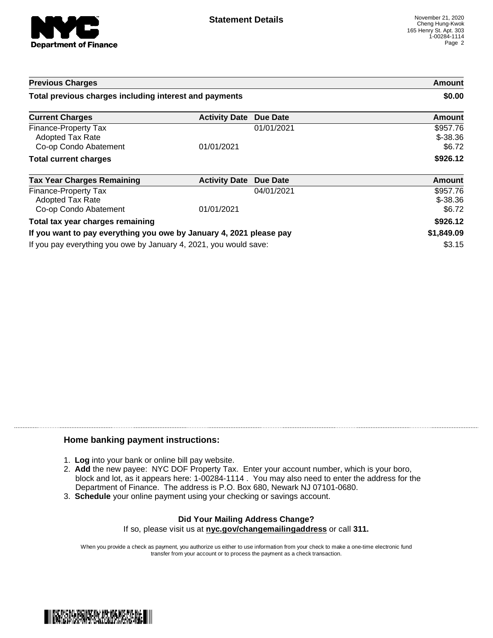

| <b>Previous Charges</b>                                                  |                      |                 | Amount                           |
|--------------------------------------------------------------------------|----------------------|-----------------|----------------------------------|
| Total previous charges including interest and payments                   |                      |                 | \$0.00                           |
| <b>Current Charges</b>                                                   | <b>Activity Date</b> | Due Date        | Amount                           |
| Finance-Property Tax<br><b>Adopted Tax Rate</b><br>Co-op Condo Abatement | 01/01/2021           | 01/01/2021      | \$957.76<br>$$-38.36$<br>\$6.72  |
| <b>Total current charges</b>                                             |                      |                 | \$926.12                         |
| <b>Tax Year Charges Remaining</b>                                        | <b>Activity Date</b> | <b>Due Date</b> | <b>Amount</b>                    |
| Finance-Property Tax<br>Adopted Tax Rate<br>Co-op Condo Abatement        | 01/01/2021           | 04/01/2021      | \$957.76<br>$$ -38.36$<br>\$6.72 |
| Total tax year charges remaining                                         |                      |                 | \$926.12                         |
| If you want to pay everything you owe by January 4, 2021 please pay      |                      | \$1,849.09      |                                  |
| If you pay everything you owe by January 4, 2021, you would save:        |                      | \$3.15          |                                  |

## **Home banking payment instructions:**

- 1. **Log** into your bank or online bill pay website.
- 2. **Add** the new payee: NYC DOF Property Tax. Enter your account number, which is your boro, block and lot, as it appears here: 1-00284-1114 . You may also need to enter the address for the Department of Finance. The address is P.O. Box 680, Newark NJ 07101-0680.
- 3. **Schedule** your online payment using your checking or savings account.

### **Did Your Mailing Address Change?** If so, please visit us at **nyc.gov/changemailingaddress** or call **311.**

When you provide a check as payment, you authorize us either to use information from your check to make a one-time electronic fund transfer from your account or to process the payment as a check transaction.